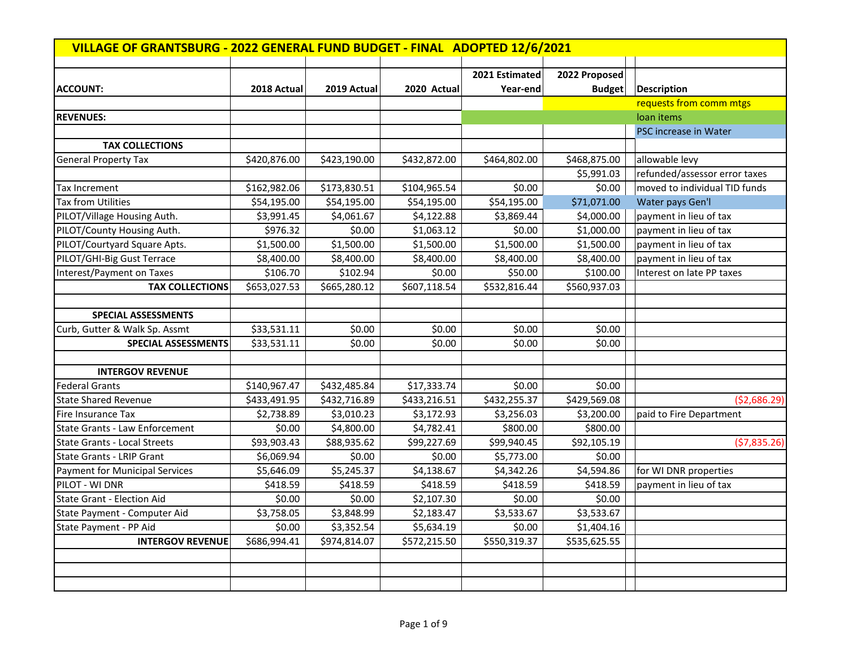| VILLAGE OF GRANTSBURG - 2022 GENERAL FUND BUDGET - FINAL ADOPTED 12/6/2021 |              |              |              |                |               |                               |  |
|----------------------------------------------------------------------------|--------------|--------------|--------------|----------------|---------------|-------------------------------|--|
|                                                                            |              |              |              | 2021 Estimated | 2022 Proposed |                               |  |
| <b>ACCOUNT:</b>                                                            | 2018 Actual  | 2019 Actual  | 2020 Actual  | Year-end       | <b>Budget</b> | Description                   |  |
|                                                                            |              |              |              |                |               | requests from comm mtgs       |  |
| <b>REVENUES:</b>                                                           |              |              |              |                |               | loan items                    |  |
|                                                                            |              |              |              |                |               | PSC increase in Water         |  |
| <b>TAX COLLECTIONS</b>                                                     |              |              |              |                |               |                               |  |
| <b>General Property Tax</b>                                                | \$420,876.00 | \$423,190.00 | \$432,872.00 | \$464,802.00   | \$468,875.00  | allowable levy                |  |
|                                                                            |              |              |              |                | \$5,991.03    | refunded/assessor error taxes |  |
| Tax Increment                                                              | \$162,982.06 | \$173,830.51 | \$104,965.54 | \$0.00         | \$0.00        | moved to individual TID funds |  |
| Tax from Utilities                                                         | \$54,195.00  | \$54,195.00  | \$54,195.00  | \$54,195.00    | \$71,071.00   | Water pays Gen'l              |  |
| PILOT/Village Housing Auth.                                                | \$3,991.45   | \$4,061.67   | \$4,122.88   | \$3,869.44     | \$4,000.00    | payment in lieu of tax        |  |
| PILOT/County Housing Auth.                                                 | \$976.32     | \$0.00       | \$1,063.12   | \$0.00         | \$1,000.00    | payment in lieu of tax        |  |
| PILOT/Courtyard Square Apts.                                               | \$1,500.00   | \$1,500.00   | \$1,500.00   | \$1,500.00     | \$1,500.00    | payment in lieu of tax        |  |
| PILOT/GHI-Big Gust Terrace                                                 | \$8,400.00   | \$8,400.00   | \$8,400.00   | \$8,400.00     | \$8,400.00    | payment in lieu of tax        |  |
| Interest/Payment on Taxes                                                  | \$106.70     | \$102.94     | \$0.00       | \$50.00        | \$100.00      | Interest on late PP taxes     |  |
| <b>TAX COLLECTIONS</b>                                                     | \$653,027.53 | \$665,280.12 | \$607,118.54 | \$532,816.44   | \$560,937.03  |                               |  |
|                                                                            |              |              |              |                |               |                               |  |
| <b>SPECIAL ASSESSMENTS</b>                                                 |              |              |              |                |               |                               |  |
| Curb, Gutter & Walk Sp. Assmt                                              | \$33,531.11  | \$0.00       | \$0.00       | \$0.00         | \$0.00        |                               |  |
| SPECIAL ASSESSMENTS                                                        | \$33,531.11  | \$0.00       | \$0.00       | \$0.00         | \$0.00        |                               |  |
|                                                                            |              |              |              |                |               |                               |  |
| <b>INTERGOV REVENUE</b>                                                    |              |              |              |                |               |                               |  |
| <b>Federal Grants</b>                                                      | \$140,967.47 | \$432,485.84 | \$17,333.74  | \$0.00         | \$0.00        |                               |  |
| <b>State Shared Revenue</b>                                                | \$433,491.95 | \$432,716.89 | \$433,216.51 | \$432,255.37   | \$429,569.08  | (52,686.29)                   |  |
| Fire Insurance Tax                                                         | \$2,738.89   | \$3,010.23   | \$3,172.93   | \$3,256.03     | \$3,200.00    | paid to Fire Department       |  |
| <b>State Grants - Law Enforcement</b>                                      | \$0.00       | \$4,800.00   | \$4,782.41   | \$800.00       | \$800.00      |                               |  |
| <b>State Grants - Local Streets</b>                                        | \$93,903.43  | \$88,935.62  | \$99,227.69  | \$99,940.45    | \$92,105.19   | (57,835.26)                   |  |
| <b>State Grants - LRIP Grant</b>                                           | \$6,069.94   | \$0.00       | \$0.00       | \$5,773.00     | \$0.00        |                               |  |
| Payment for Municipal Services                                             | \$5,646.09   | \$5,245.37   | \$4,138.67   | \$4,342.26     | \$4,594.86    | for WI DNR properties         |  |
| PILOT - WI DNR                                                             | \$418.59     | \$418.59     | \$418.59     | \$418.59       | \$418.59      | payment in lieu of tax        |  |
| <b>State Grant - Election Aid</b>                                          | \$0.00       | \$0.00       | \$2,107.30   | \$0.00         | \$0.00        |                               |  |
| State Payment - Computer Aid                                               | \$3,758.05   | \$3,848.99   | \$2,183.47   | \$3,533.67     | \$3,533.67    |                               |  |
| State Payment - PP Aid                                                     | \$0.00       | \$3,352.54   | \$5,634.19   | \$0.00         | \$1,404.16    |                               |  |
| <b>INTERGOV REVENUE</b>                                                    | \$686,994.41 | \$974,814.07 | \$572,215.50 | \$550,319.37   | \$535,625.55  |                               |  |
|                                                                            |              |              |              |                |               |                               |  |
|                                                                            |              |              |              |                |               |                               |  |
|                                                                            |              |              |              |                |               |                               |  |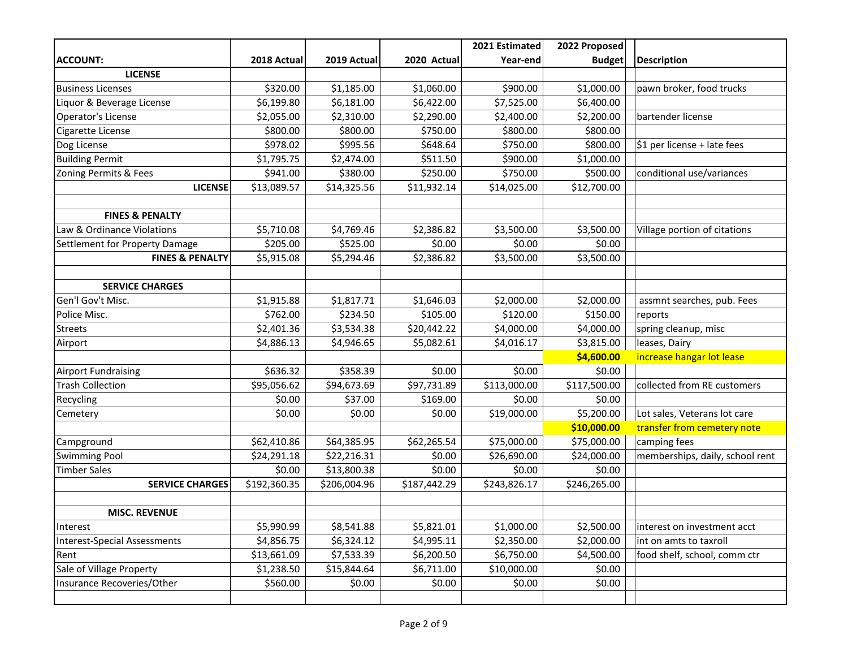|                                |              |              |              | 2021 Estimated | 2022 Proposed |                                 |
|--------------------------------|--------------|--------------|--------------|----------------|---------------|---------------------------------|
| <b>ACCOUNT:</b>                | 2018 Actual  | 2019 Actual  | 2020 Actual  | Year-end       | <b>Budget</b> | <b>Description</b>              |
| <b>LICENSE</b>                 |              |              |              |                |               |                                 |
| <b>Business Licenses</b>       | \$320.00     | \$1,185.00   | \$1,060.00   | \$900.00       | \$1,000.00    | pawn broker, food trucks        |
| Liquor & Beverage License      | \$6,199.80   | \$6,181.00   | \$6,422.00   | \$7,525.00     | \$6,400.00    |                                 |
| Operator's License             | \$2,055.00   | \$2,310.00   | \$2,290.00   | \$2,400.00     | \$2,200.00    | bartender license               |
| Cigarette License              | \$800.00     | \$800.00     | \$750.00     | \$800.00       | \$800.00      |                                 |
| Dog License                    | \$978.02     | \$995.56     | \$648.64     | \$750.00       | \$800.00      | \$1 per license + late fees     |
| <b>Building Permit</b>         | \$1,795.75   | \$2,474.00   | \$511.50     | \$900.00       | \$1,000.00    |                                 |
| Zoning Permits & Fees          | \$941.00     | \$380.00     | \$250.00     | \$750.00       | \$500.00      | conditional use/variances       |
| <b>LICENSE</b>                 | \$13,089.57  | \$14,325.56  | \$11,932.14  | \$14,025.00    | \$12,700.00   |                                 |
|                                |              |              |              |                |               |                                 |
| <b>FINES &amp; PENALTY</b>     |              |              |              |                |               |                                 |
| Law & Ordinance Violations     | \$5,710.08   | \$4,769.46   | \$2,386.82   | \$3,500.00     | \$3,500.00    | Village portion of citations    |
| Settlement for Property Damage | \$205.00     | \$525.00     | \$0.00       | \$0.00         | \$0.00        |                                 |
| <b>FINES &amp; PENALTY</b>     | \$5,915.08   | \$5,294.46   | \$2,386.82   | \$3,500.00     | \$3,500.00    |                                 |
|                                |              |              |              |                |               |                                 |
| <b>SERVICE CHARGES</b>         |              |              |              |                |               |                                 |
| Gen'l Gov't Misc.              | \$1,915.88   | \$1,817.71   | \$1,646.03   | \$2,000.00     | \$2,000.00    | assmnt searches, pub. Fees      |
| Police Misc.                   | \$762.00     | \$234.50     | \$105.00     | \$120.00       | \$150.00      | reports                         |
| <b>Streets</b>                 | \$2,401.36   | \$3,534.38   | \$20,442.22  | \$4,000.00     | \$4,000.00    | spring cleanup, misc            |
| Airport                        | \$4,886.13   | \$4,946.65   | \$5,082.61   | \$4,016.17     | \$3,815.00    | leases, Dairy                   |
|                                |              |              |              |                | \$4,600.00    | increase hangar lot lease       |
| <b>Airport Fundraising</b>     | \$636.32     | \$358.39     | \$0.00       | \$0.00         | \$0.00        |                                 |
| <b>Trash Collection</b>        | \$95,056.62  | \$94,673.69  | \$97,731.89  | \$113,000.00   | \$117,500.00  | collected from RE customers     |
| Recycling                      | \$0.00       | \$37.00      | \$169.00     | \$0.00         | \$0.00        |                                 |
| Cemetery                       | \$0.00       | \$0.00       | \$0.00       | \$19,000.00    | \$5,200.00    | Lot sales, Veterans lot care    |
|                                |              |              |              |                | \$10,000.00   | transfer from cemetery note     |
| Campground                     | \$62,410.86  | \$64,385.95  | \$62,265.54  | \$75,000.00    | \$75,000.00   | camping fees                    |
| <b>Swimming Pool</b>           | \$24,291.18  | \$22,216.31  | \$0.00       | \$26,690.00    | \$24,000.00   | memberships, daily, school rent |
| <b>Timber Sales</b>            | \$0.00       | \$13,800.38  | \$0.00       | \$0.00         | \$0.00        |                                 |
| <b>SERVICE CHARGES</b>         | \$192,360.35 | \$206,004.96 | \$187,442.29 | \$243,826.17   | \$246,265.00  |                                 |
|                                |              |              |              |                |               |                                 |
| <b>MISC. REVENUE</b>           |              |              |              |                |               |                                 |
| Interest                       | \$5,990.99   | \$8,541.88   | \$5,821.01   | \$1,000.00     | \$2,500.00    | interest on investment acct     |
| Interest-Special Assessments   | \$4,856.75   | \$6,324.12   | \$4,995.11   | \$2,350.00     | \$2,000.00    | int on amts to taxroll          |
| Rent                           | \$13,661.09  | \$7,533.39   | \$6,200.50   | \$6,750.00     | \$4,500.00    | food shelf, school, comm ctr    |
| Sale of Village Property       | \$1,238.50   | \$15,844.64  | \$6,711.00   | \$10,000.00    | \$0.00        |                                 |
| Insurance Recoveries/Other     | \$560.00     | \$0.00       | \$0.00       | \$0.00         | \$0.00        |                                 |
|                                |              |              |              |                |               |                                 |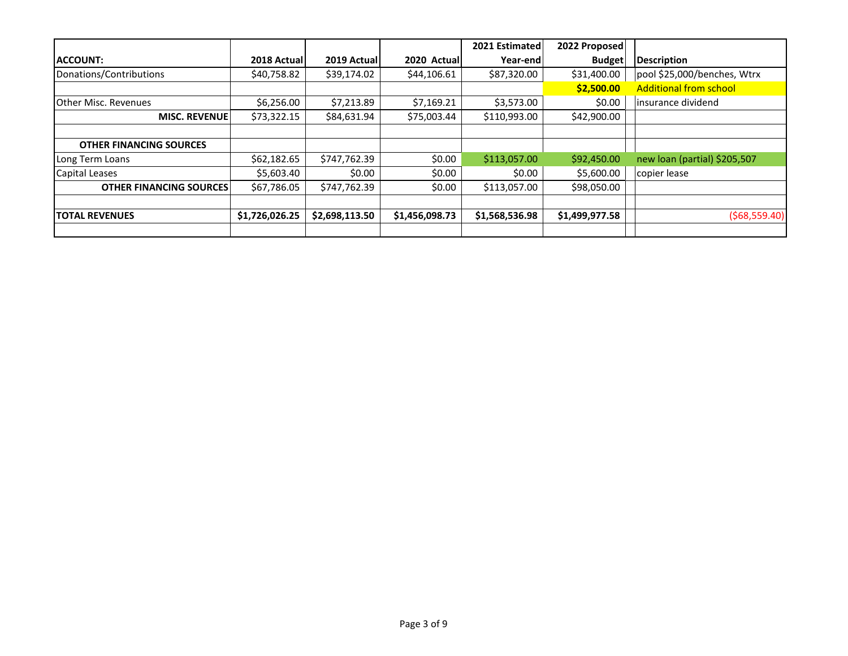|                                |                |                |                | 2021 Estimated | 2022 Proposed  |                               |
|--------------------------------|----------------|----------------|----------------|----------------|----------------|-------------------------------|
| <b>ACCOUNT:</b>                | 2018 Actual    | 2019 Actual    | 2020 Actual    | Year-end       | <b>Budget</b>  | Description                   |
| Donations/Contributions        | \$40,758.82    | \$39,174.02    | \$44,106.61    | \$87,320.00    | \$31,400.00    | pool \$25,000/benches, Wtrx   |
|                                |                |                |                |                | \$2,500.00     | <b>Additional from school</b> |
| <b>Other Misc. Revenues</b>    | \$6,256.00     | \$7,213.89     | \$7,169.21     | \$3,573.00     | \$0.00         | linsurance dividend           |
| <b>MISC. REVENUE</b>           | \$73,322.15    | \$84,631.94    | \$75,003.44    | \$110,993.00   | \$42,900.00    |                               |
|                                |                |                |                |                |                |                               |
| <b>OTHER FINANCING SOURCES</b> |                |                |                |                |                |                               |
| Long Term Loans                | \$62,182.65    | \$747,762.39   | \$0.00         | \$113,057.00   | \$92,450.00    | new loan (partial) \$205,507  |
| Capital Leases                 | \$5,603.40     | \$0.00         | \$0.00         | \$0.00         | \$5,600.00     | copier lease                  |
| <b>OTHER FINANCING SOURCES</b> | \$67,786.05    | \$747,762.39   | \$0.00         | \$113,057.00   | \$98,050.00    |                               |
|                                |                |                |                |                |                |                               |
| <b>ITOTAL REVENUES</b>         | \$1,726,026.25 | \$2,698,113.50 | \$1,456,098.73 | \$1,568,536.98 | \$1,499,977.58 | ( \$68,559.40]                |
|                                |                |                |                |                |                |                               |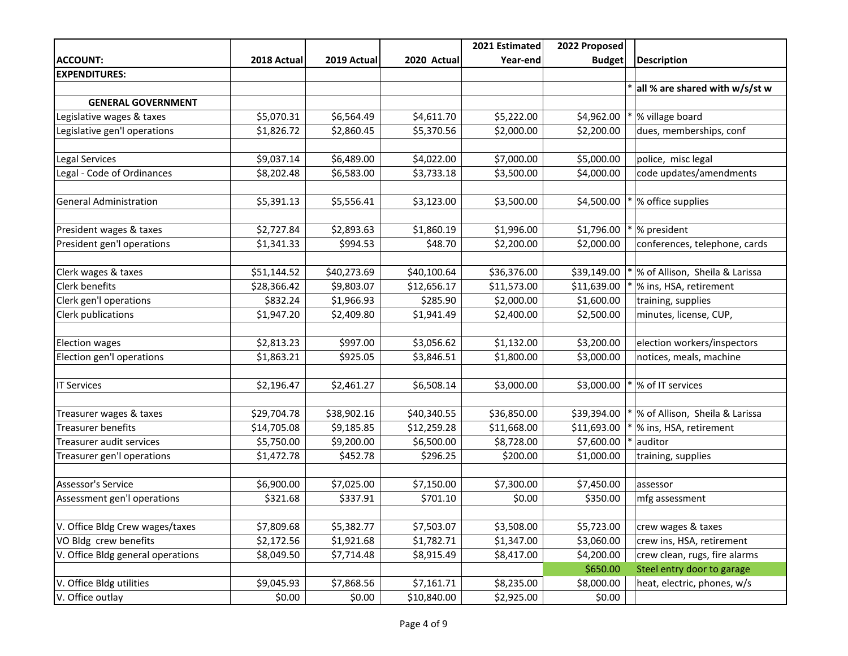|                                   |             |             |             | 2021 Estimated | 2022 Proposed |                                |
|-----------------------------------|-------------|-------------|-------------|----------------|---------------|--------------------------------|
| <b>ACCOUNT:</b>                   | 2018 Actual | 2019 Actual | 2020 Actual | Year-end       | <b>Budget</b> | <b>Description</b>             |
| <b>EXPENDITURES:</b>              |             |             |             |                |               |                                |
|                                   |             |             |             |                |               | all % are shared with w/s/st w |
| <b>GENERAL GOVERNMENT</b>         |             |             |             |                |               |                                |
| Legislative wages & taxes         | \$5,070.31  | \$6,564.49  | \$4,611.70  | \$5,222.00     | \$4,962.00    | % village board                |
| Legislative gen'l operations      | \$1,826.72  | \$2,860.45  | \$5,370.56  | \$2,000.00     | \$2,200.00    | dues, memberships, conf        |
|                                   |             |             |             |                |               |                                |
| Legal Services                    | \$9,037.14  | \$6,489.00  | \$4,022.00  | \$7,000.00     | \$5,000.00    | police, misc legal             |
| Legal - Code of Ordinances        | \$8,202.48  | \$6,583.00  | \$3,733.18  | \$3,500.00     | \$4,000.00    | code updates/amendments        |
|                                   |             |             |             |                |               |                                |
| <b>General Administration</b>     | \$5,391.13  | \$5,556.41  | \$3,123.00  | \$3,500.00     | \$4,500.00    | % office supplies              |
|                                   |             |             |             |                |               |                                |
| President wages & taxes           | \$2,727.84  | \$2,893.63  | \$1,860.19  | \$1,996.00     | \$1,796.00    | % president                    |
| President gen'l operations        | \$1,341.33  | \$994.53    | \$48.70     | \$2,200.00     | \$2,000.00    | conferences, telephone, cards  |
|                                   |             |             |             |                |               |                                |
| Clerk wages & taxes               | \$51,144.52 | \$40,273.69 | \$40,100.64 | \$36,376.00    | \$39,149.00   | % of Allison, Sheila & Larissa |
| <b>Clerk benefits</b>             | \$28,366.42 | \$9,803.07  | \$12,656.17 | \$11,573.00    | \$11,639.00   | % ins, HSA, retirement         |
| Clerk gen'l operations            | \$832.24    | \$1,966.93  | \$285.90    | \$2,000.00     | \$1,600.00    | training, supplies             |
| Clerk publications                | \$1,947.20  | \$2,409.80  | \$1,941.49  | \$2,400.00     | \$2,500.00    | minutes, license, CUP,         |
|                                   |             |             |             |                |               |                                |
| <b>Election wages</b>             | \$2,813.23  | \$997.00    | \$3,056.62  | \$1,132.00     | \$3,200.00    | election workers/inspectors    |
| Election gen'l operations         | \$1,863.21  | \$925.05    | \$3,846.51  | \$1,800.00     | \$3,000.00    | notices, meals, machine        |
|                                   |             |             |             |                |               |                                |
| <b>IT Services</b>                | \$2,196.47  | \$2,461.27  | \$6,508.14  | \$3,000.00     | \$3,000.00    | % of IT services               |
|                                   |             |             |             |                |               |                                |
| Treasurer wages & taxes           | \$29,704.78 | \$38,902.16 | \$40,340.55 | \$36,850.00    | \$39,394.00   | % of Allison, Sheila & Larissa |
| <b>Treasurer benefits</b>         | \$14,705.08 | \$9,185.85  | \$12,259.28 | \$11,668.00    | \$11,693.00   | % ins, HSA, retirement         |
| Treasurer audit services          | \$5,750.00  | \$9,200.00  | \$6,500.00  | \$8,728.00     | \$7,600.00    | auditor                        |
| Treasurer gen'l operations        | \$1,472.78  | \$452.78    | \$296.25    | \$200.00       | \$1,000.00    | training, supplies             |
|                                   |             |             |             |                |               |                                |
| <b>Assessor's Service</b>         | \$6,900.00  | \$7,025.00  | \$7,150.00  | \$7,300.00     | \$7,450.00    | assessor                       |
| Assessment gen'l operations       | \$321.68    | \$337.91    | \$701.10    | \$0.00         | \$350.00      | mfg assessment                 |
|                                   |             |             |             |                |               |                                |
| V. Office Bldg Crew wages/taxes   | \$7,809.68  | \$5,382.77  | \$7,503.07  | \$3,508.00     | \$5,723.00    | crew wages & taxes             |
| VO Bldg crew benefits             | \$2,172.56  | \$1,921.68  | \$1,782.71  | \$1,347.00     | \$3,060.00    | crew ins, HSA, retirement      |
| V. Office Bldg general operations | \$8,049.50  | \$7,714.48  | \$8,915.49  | \$8,417.00     | \$4,200.00    | crew clean, rugs, fire alarms  |
|                                   |             |             |             |                | \$650.00      | Steel entry door to garage     |
| V. Office Bldg utilities          | \$9,045.93  | \$7,868.56  | \$7,161.71  | \$8,235.00     | \$8,000.00    | heat, electric, phones, w/s    |
| V. Office outlay                  | \$0.00      | \$0.00      | \$10,840.00 | \$2,925.00     | \$0.00        |                                |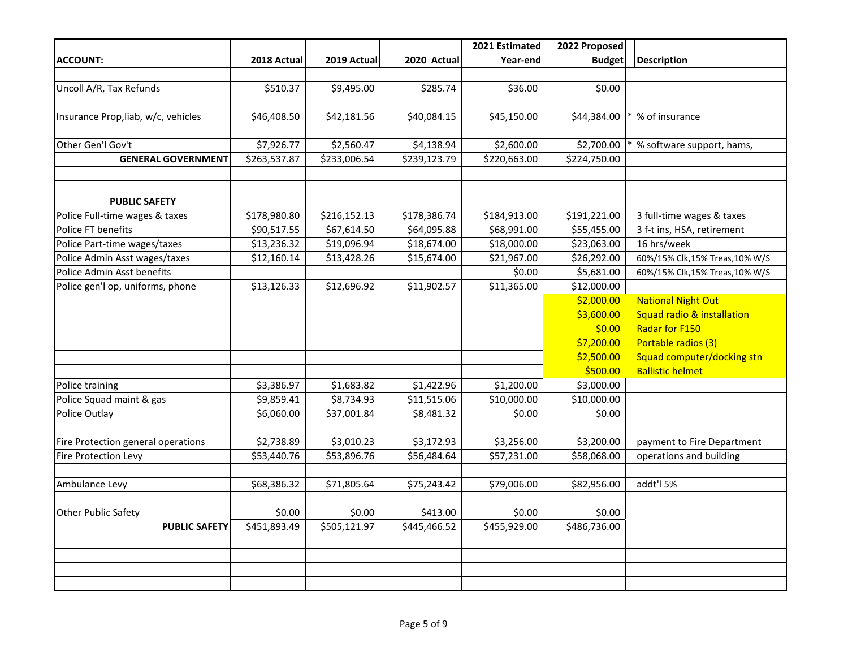|                                     |              |              |              | 2021 Estimated | 2022 Proposed |                               |
|-------------------------------------|--------------|--------------|--------------|----------------|---------------|-------------------------------|
| <b>ACCOUNT:</b>                     | 2018 Actual  | 2019 Actual  | 2020 Actual  | Year-end       | <b>Budget</b> | Description                   |
|                                     |              |              |              |                |               |                               |
| Uncoll A/R, Tax Refunds             | \$510.37     | \$9,495.00   | \$285.74     | \$36.00        | \$0.00        |                               |
|                                     |              |              |              |                |               |                               |
| Insurance Prop, liab, w/c, vehicles | \$46,408.50  | \$42,181.56  | \$40,084.15  | \$45,150.00    | \$44,384.00   | % of insurance                |
|                                     |              |              |              |                |               |                               |
| Other Gen'l Gov't                   | \$7,926.77   | \$2,560.47   | \$4,138.94   | \$2,600.00     | \$2,700.00    | % software support, hams,     |
| <b>GENERAL GOVERNMENT</b>           | \$263,537.87 | \$233,006.54 | \$239,123.79 | \$220,663.00   | \$224,750.00  |                               |
|                                     |              |              |              |                |               |                               |
|                                     |              |              |              |                |               |                               |
| <b>PUBLIC SAFETY</b>                |              |              |              |                |               |                               |
| Police Full-time wages & taxes      | \$178,980.80 | \$216,152.13 | \$178,386.74 | \$184,913.00   | \$191,221.00  | 3 full-time wages & taxes     |
| Police FT benefits                  | \$90,517.55  | \$67,614.50  | \$64,095.88  | \$68,991.00    | \$55,455.00   | 3 f-t ins, HSA, retirement    |
| Police Part-time wages/taxes        | \$13,236.32  | \$19,096.94  | \$18,674.00  | \$18,000.00    | \$23,063.00   | 16 hrs/week                   |
| Police Admin Asst wages/taxes       | \$12,160.14  | \$13,428.26  | \$15,674.00  | \$21,967.00    | \$26,292.00   | 60%/15% Clk,15% Treas,10% W/S |
| Police Admin Asst benefits          |              |              |              | \$0.00         | \$5,681.00    | 60%/15% Clk,15% Treas,10% W/S |
| Police gen'l op, uniforms, phone    | \$13,126.33  | \$12,696.92  | \$11,902.57  | \$11,365.00    | \$12,000.00   |                               |
|                                     |              |              |              |                | \$2,000.00    | <b>National Night Out</b>     |
|                                     |              |              |              |                | \$3,600.00    | Squad radio & installation    |
|                                     |              |              |              |                | \$0.00        | <b>Radar for F150</b>         |
|                                     |              |              |              |                | \$7,200.00    | Portable radios (3)           |
|                                     |              |              |              |                | \$2,500.00    | Squad computer/docking stn    |
|                                     |              |              |              |                | \$500.00      | <b>Ballistic helmet</b>       |
| Police training                     | \$3,386.97   | \$1,683.82   | \$1,422.96   | \$1,200.00     | \$3,000.00    |                               |
| Police Squad maint & gas            | \$9,859.41   | \$8,734.93   | \$11,515.06  | \$10,000.00    | \$10,000.00   |                               |
| Police Outlay                       | \$6,060.00   | \$37,001.84  | \$8,481.32   | \$0.00         | \$0.00        |                               |
|                                     |              |              |              |                |               |                               |
| Fire Protection general operations  | \$2,738.89   | \$3,010.23   | \$3,172.93   | \$3,256.00     | \$3,200.00    | payment to Fire Department    |
| Fire Protection Levy                | \$53,440.76  | \$53,896.76  | \$56,484.64  | \$57,231.00    | \$58,068.00   | operations and building       |
|                                     |              |              |              |                |               |                               |
| Ambulance Levy                      | \$68,386.32  | \$71,805.64  | \$75,243.42  | \$79,006.00    | \$82,956.00   | addt'l 5%                     |
|                                     |              |              |              |                |               |                               |
| <b>Other Public Safety</b>          | \$0.00       | \$0.00       | \$413.00     | \$0.00         | \$0.00        |                               |
| <b>PUBLIC SAFETY</b>                | \$451,893.49 | \$505,121.97 | \$445,466.52 | \$455,929.00   | \$486,736.00  |                               |
|                                     |              |              |              |                |               |                               |
|                                     |              |              |              |                |               |                               |
|                                     |              |              |              |                |               |                               |
|                                     |              |              |              |                |               |                               |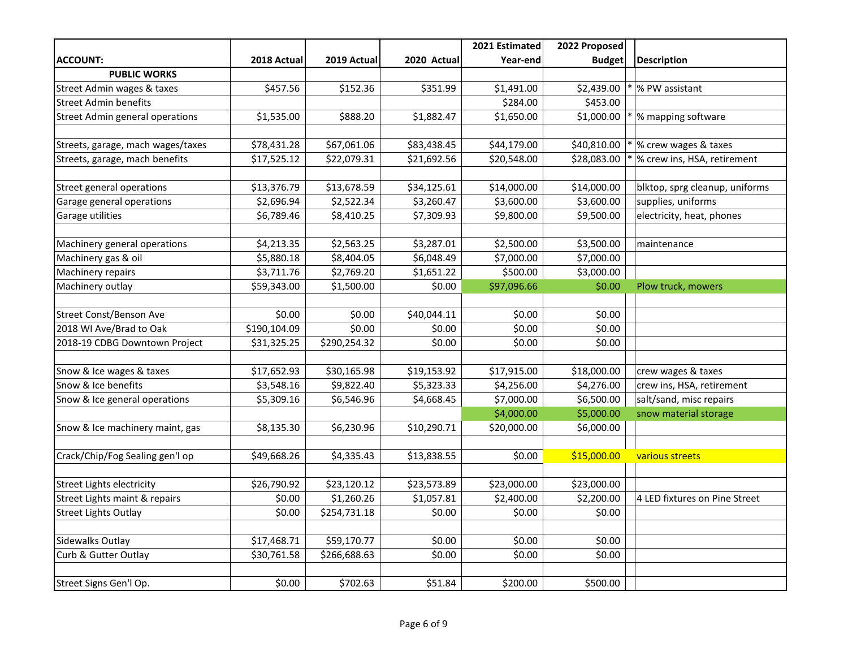|                                        |              |              |             | 2021 Estimated | 2022 Proposed |                                |
|----------------------------------------|--------------|--------------|-------------|----------------|---------------|--------------------------------|
| <b>ACCOUNT:</b>                        | 2018 Actual  | 2019 Actual  | 2020 Actual | Year-end       | <b>Budget</b> | <b>Description</b>             |
| <b>PUBLIC WORKS</b>                    |              |              |             |                |               |                                |
| Street Admin wages & taxes             | \$457.56     | \$152.36     | \$351.99    | \$1,491.00     | \$2,439.00    | % PW assistant                 |
| <b>Street Admin benefits</b>           |              |              |             | \$284.00       | \$453.00      |                                |
| <b>Street Admin general operations</b> | \$1,535.00   | \$888.20     | \$1,882.47  | \$1,650.00     | \$1,000.00    | % mapping software             |
|                                        |              |              |             |                |               |                                |
| Streets, garage, mach wages/taxes      | \$78,431.28  | \$67,061.06  | \$83,438.45 | \$44,179.00    | \$40,810.00   | % crew wages & taxes           |
| Streets, garage, mach benefits         | \$17,525.12  | \$22,079.31  | \$21,692.56 | \$20,548.00    | \$28,083.00   | % crew ins, HSA, retirement    |
|                                        |              |              |             |                |               |                                |
| Street general operations              | \$13,376.79  | \$13,678.59  | \$34,125.61 | \$14,000.00    | \$14,000.00   | blktop, sprg cleanup, uniforms |
| Garage general operations              | \$2,696.94   | \$2,522.34   | \$3,260.47  | \$3,600.00     | \$3,600.00    | supplies, uniforms             |
| Garage utilities                       | \$6,789.46   | \$8,410.25   | \$7,309.93  | \$9,800.00     | \$9,500.00    | electricity, heat, phones      |
|                                        |              |              |             |                |               |                                |
| Machinery general operations           | \$4,213.35   | \$2,563.25   | \$3,287.01  | \$2,500.00     | \$3,500.00    | maintenance                    |
| Machinery gas & oil                    | \$5,880.18   | \$8,404.05   | \$6,048.49  | \$7,000.00     | \$7,000.00    |                                |
| Machinery repairs                      | \$3,711.76   | \$2,769.20   | \$1,651.22  | \$500.00       | \$3,000.00    |                                |
| Machinery outlay                       | \$59,343.00  | \$1,500.00   | \$0.00      | \$97,096.66    | \$0.00        | Plow truck, mowers             |
|                                        |              |              |             |                |               |                                |
| Street Const/Benson Ave                | \$0.00       | \$0.00       | \$40,044.11 | \$0.00         | \$0.00        |                                |
| 2018 WI Ave/Brad to Oak                | \$190,104.09 | \$0.00       | \$0.00      | \$0.00         | \$0.00        |                                |
| 2018-19 CDBG Downtown Project          | \$31,325.25  | \$290,254.32 | \$0.00      | \$0.00         | \$0.00        |                                |
|                                        |              |              |             |                |               |                                |
| Snow & Ice wages & taxes               | \$17,652.93  | \$30,165.98  | \$19,153.92 | \$17,915.00    | \$18,000.00   | crew wages & taxes             |
| Snow & Ice benefits                    | \$3,548.16   | \$9,822.40   | \$5,323.33  | \$4,256.00     | \$4,276.00    | crew ins, HSA, retirement      |
| Snow & Ice general operations          | \$5,309.16   | \$6,546.96   | \$4,668.45  | \$7,000.00     | \$6,500.00    | salt/sand, misc repairs        |
|                                        |              |              |             | \$4,000.00     | \$5,000.00    | snow material storage          |
| Snow & Ice machinery maint, gas        | \$8,135.30   | \$6,230.96   | \$10,290.71 | \$20,000.00    | \$6,000.00    |                                |
|                                        |              |              |             |                |               |                                |
| Crack/Chip/Fog Sealing gen'l op        | \$49,668.26  | \$4,335.43   | \$13,838.55 | \$0.00         | \$15,000.00   | various streets                |
|                                        |              |              |             |                |               |                                |
| <b>Street Lights electricity</b>       | \$26,790.92  | \$23,120.12  | \$23,573.89 | \$23,000.00    | \$23,000.00   |                                |
| Street Lights maint & repairs          | \$0.00       | \$1,260.26   | \$1,057.81  | \$2,400.00     | \$2,200.00    | 4 LED fixtures on Pine Street  |
| <b>Street Lights Outlay</b>            | \$0.00       | \$254,731.18 | \$0.00      | \$0.00         | \$0.00        |                                |
|                                        |              |              |             |                |               |                                |
| Sidewalks Outlay                       | \$17,468.71  | \$59,170.77  | \$0.00      | \$0.00         | \$0.00        |                                |
| Curb & Gutter Outlay                   | \$30,761.58  | \$266,688.63 | \$0.00      | \$0.00         | \$0.00        |                                |
|                                        |              |              |             |                |               |                                |
| Street Signs Gen'l Op.                 | \$0.00       | \$702.63     | \$51.84     | \$200.00       | \$500.00      |                                |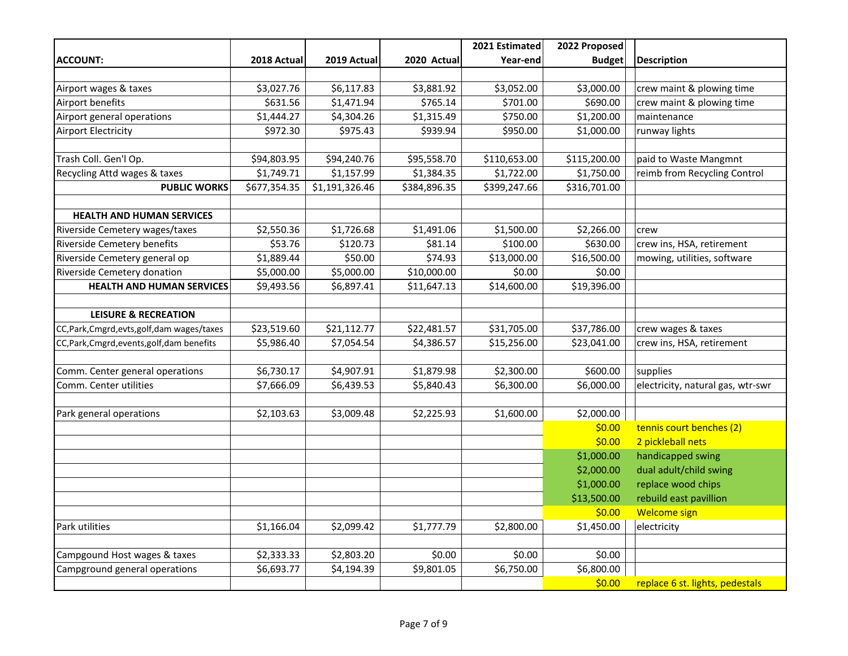|                                              |              |                |              | 2021 Estimated | 2022 Proposed |                                   |
|----------------------------------------------|--------------|----------------|--------------|----------------|---------------|-----------------------------------|
| <b>ACCOUNT:</b>                              | 2018 Actual  | 2019 Actual    | 2020 Actual  | Year-end       | <b>Budget</b> | <b>Description</b>                |
|                                              |              |                |              |                |               |                                   |
| Airport wages & taxes                        | \$3,027.76   | \$6,117.83     | \$3,881.92   | \$3,052.00     | \$3,000.00    | crew maint & plowing time         |
| Airport benefits                             | \$631.56     | \$1,471.94     | \$765.14     | \$701.00       | \$690.00      | crew maint & plowing time         |
| Airport general operations                   | \$1,444.27   | \$4,304.26     | \$1,315.49   | \$750.00       | \$1,200.00    | maintenance                       |
| <b>Airport Electricity</b>                   | \$972.30     | \$975.43       | \$939.94     | \$950.00       | \$1,000.00    | runway lights                     |
|                                              |              |                |              |                |               |                                   |
| Trash Coll. Gen'l Op.                        | \$94,803.95  | \$94,240.76    | \$95,558.70  | \$110,653.00   | \$115,200.00  | paid to Waste Mangmnt             |
| Recycling Attd wages & taxes                 | \$1,749.71   | \$1,157.99     | \$1,384.35   | \$1,722.00     | \$1,750.00    | reimb from Recycling Control      |
| <b>PUBLIC WORKS</b>                          | \$677,354.35 | \$1,191,326.46 | \$384,896.35 | \$399,247.66   | \$316,701.00  |                                   |
|                                              |              |                |              |                |               |                                   |
| <b>HEALTH AND HUMAN SERVICES</b>             |              |                |              |                |               |                                   |
| Riverside Cemetery wages/taxes               | \$2,550.36   | \$1,726.68     | \$1,491.06   | \$1,500.00     | \$2,266.00    | crew                              |
| <b>Riverside Cemetery benefits</b>           | \$53.76      | \$120.73       | \$81.14      | \$100.00       | \$630.00      | crew ins, HSA, retirement         |
| Riverside Cemetery general op                | \$1,889.44   | \$50.00        | \$74.93      | \$13,000.00    | \$16,500.00   | mowing, utilities, software       |
| Riverside Cemetery donation                  | \$5,000.00   | \$5,000.00     | \$10,000.00  | \$0.00         | \$0.00        |                                   |
| <b>HEALTH AND HUMAN SERVICES</b>             | \$9,493.56   | \$6,897.41     | \$11,647.13  | \$14,600.00    | \$19,396.00   |                                   |
|                                              |              |                |              |                |               |                                   |
| <b>LEISURE &amp; RECREATION</b>              |              |                |              |                |               |                                   |
| CC, Park, Cmgrd, evts, golf, dam wages/taxes | \$23,519.60  | \$21,112.77    | \$22,481.57  | \$31,705.00    | \$37,786.00   | crew wages & taxes                |
| CC, Park, Cmgrd, events, golf, dam benefits  | \$5,986.40   | \$7,054.54     | \$4,386.57   | \$15,256.00    | \$23,041.00   | crew ins, HSA, retirement         |
|                                              |              |                |              |                |               |                                   |
| Comm. Center general operations              | \$6,730.17   | \$4,907.91     | \$1,879.98   | \$2,300.00     | \$600.00      | supplies                          |
| Comm. Center utilities                       | \$7,666.09   | \$6,439.53     | \$5,840.43   | \$6,300.00     | \$6,000.00    | electricity, natural gas, wtr-swr |
|                                              |              |                |              |                |               |                                   |
| Park general operations                      | \$2,103.63   | \$3,009.48     | \$2,225.93   | \$1,600.00     | \$2,000.00    |                                   |
|                                              |              |                |              |                | \$0.00        | tennis court benches (2)          |
|                                              |              |                |              |                | \$0.00        | 2 pickleball nets                 |
|                                              |              |                |              |                | \$1,000.00    | handicapped swing                 |
|                                              |              |                |              |                | \$2,000.00    | dual adult/child swing            |
|                                              |              |                |              |                | \$1,000.00    | replace wood chips                |
|                                              |              |                |              |                | \$13,500.00   | rebuild east pavillion            |
|                                              |              |                |              |                | \$0.00        | <b>Welcome sign</b>               |
| Park utilities                               | \$1,166.04   | \$2,099.42     | \$1,777.79   | \$2,800.00     | \$1,450.00    | electricity                       |
|                                              |              |                |              |                |               |                                   |
| Campgound Host wages & taxes                 | \$2,333.33   | \$2,803.20     | \$0.00       | \$0.00         | \$0.00        |                                   |
| Campground general operations                | \$6,693.77   | \$4,194.39     | \$9,801.05   | \$6,750.00     | \$6,800.00    |                                   |
|                                              |              |                |              |                | \$0.00        | replace 6 st. lights, pedestals   |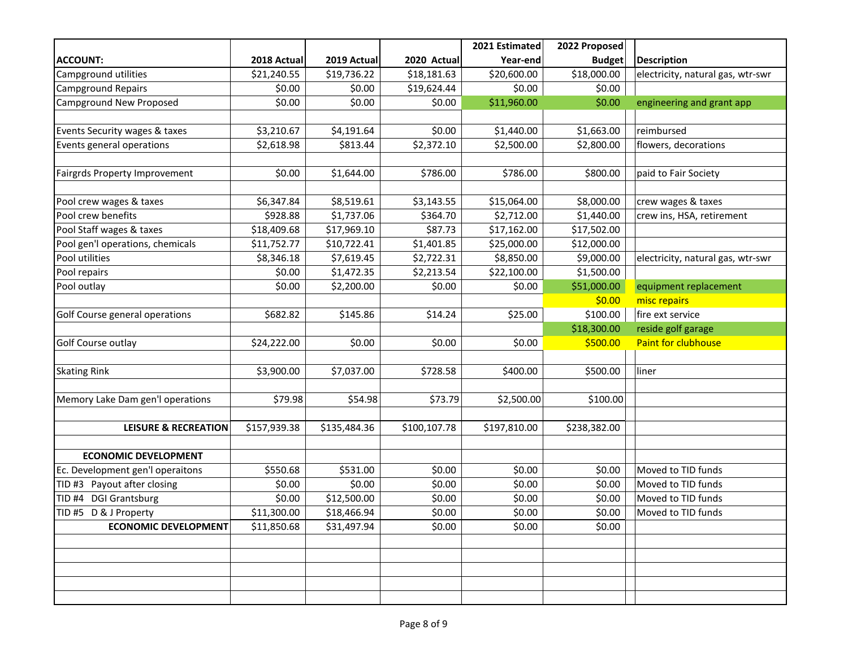|                                        |              |              |              | 2021 Estimated | 2022 Proposed |                                   |
|----------------------------------------|--------------|--------------|--------------|----------------|---------------|-----------------------------------|
| <b>ACCOUNT:</b>                        | 2018 Actual  | 2019 Actual  | 2020 Actual  | Year-end       | <b>Budget</b> | Description                       |
| Campground utilities                   | \$21,240.55  | \$19,736.22  | \$18,181.63  | \$20,600.00    | \$18,000.00   | electricity, natural gas, wtr-swr |
| <b>Campground Repairs</b>              | \$0.00       | \$0.00       | \$19,624.44  | \$0.00         | \$0.00        |                                   |
| Campground New Proposed                | \$0.00       | \$0.00       | \$0.00       | \$11,960.00    | \$0.00        | engineering and grant app         |
|                                        |              |              |              |                |               |                                   |
| Events Security wages & taxes          | \$3,210.67   | \$4,191.64   | \$0.00       | \$1,440.00     | \$1,663.00    | reimbursed                        |
| Events general operations              | \$2,618.98   | \$813.44     | \$2,372.10   | \$2,500.00     | \$2,800.00    | flowers, decorations              |
|                                        |              |              |              |                |               |                                   |
| Fairgrds Property Improvement          | \$0.00       | \$1,644.00   | \$786.00     | \$786.00       | \$800.00      | paid to Fair Society              |
|                                        |              |              |              |                |               |                                   |
| Pool crew wages & taxes                | \$6,347.84   | \$8,519.61   | \$3,143.55   | \$15,064.00    | \$8,000.00    | crew wages & taxes                |
| Pool crew benefits                     | \$928.88     | \$1,737.06   | \$364.70     | \$2,712.00     | \$1,440.00    | crew ins, HSA, retirement         |
| Pool Staff wages & taxes               | \$18,409.68  | \$17,969.10  | \$87.73      | \$17,162.00    | \$17,502.00   |                                   |
| Pool gen'l operations, chemicals       | \$11,752.77  | \$10,722.41  | \$1,401.85   | \$25,000.00    | \$12,000.00   |                                   |
| Pool utilities                         | \$8,346.18   | \$7,619.45   | \$2,722.31   | \$8,850.00     | \$9,000.00    | electricity, natural gas, wtr-swr |
| Pool repairs                           | \$0.00       | \$1,472.35   | \$2,213.54   | \$22,100.00    | \$1,500.00    |                                   |
| Pool outlay                            | \$0.00       | \$2,200.00   | \$0.00       | \$0.00         | \$51,000.00   | equipment replacement             |
|                                        |              |              |              |                | \$0.00        | misc repairs                      |
| Golf Course general operations         | \$682.82     | \$145.86     | \$14.24      | \$25.00        | \$100.00      | fire ext service                  |
|                                        |              |              |              |                | \$18,300.00   | reside golf garage                |
| Golf Course outlay                     | \$24,222.00  | \$0.00       | \$0.00       | \$0.00         | \$500.00      | <b>Paint for clubhouse</b>        |
|                                        |              |              |              |                |               |                                   |
| <b>Skating Rink</b>                    | \$3,900.00   | \$7,037.00   | \$728.58     | \$400.00       | \$500.00      | liner                             |
|                                        |              |              |              |                |               |                                   |
| Memory Lake Dam gen'l operations       | \$79.98      | \$54.98      | \$73.79      | \$2,500.00     | \$100.00      |                                   |
|                                        |              |              |              |                |               |                                   |
| <b>LEISURE &amp; RECREATION</b>        | \$157,939.38 | \$135,484.36 | \$100,107.78 | \$197,810.00   | \$238,382.00  |                                   |
|                                        |              |              |              |                |               |                                   |
| <b>ECONOMIC DEVELOPMENT</b>            |              |              |              |                |               |                                   |
| Ec. Development gen'l operaitons       | \$550.68     | \$531.00     | \$0.00       | \$0.00         | \$0.00        | Moved to TID funds                |
| TID #3 Payout after closing            | \$0.00       | \$0.00       | \$0.00       | \$0.00         | \$0.00        | Moved to TID funds                |
| <b>DGI Grantsburg</b><br><b>TID #4</b> | \$0.00       | \$12,500.00  | \$0.00       | \$0.00         | \$0.00        | Moved to TID funds                |
| TID #5 D & J Property                  | \$11,300.00  | \$18,466.94  | \$0.00       | \$0.00         | \$0.00        | Moved to TID funds                |
| <b>ECONOMIC DEVELOPMENT</b>            | \$11,850.68  | \$31,497.94  | \$0.00       | \$0.00         | \$0.00        |                                   |
|                                        |              |              |              |                |               |                                   |
|                                        |              |              |              |                |               |                                   |
|                                        |              |              |              |                |               |                                   |
|                                        |              |              |              |                |               |                                   |
|                                        |              |              |              |                |               |                                   |